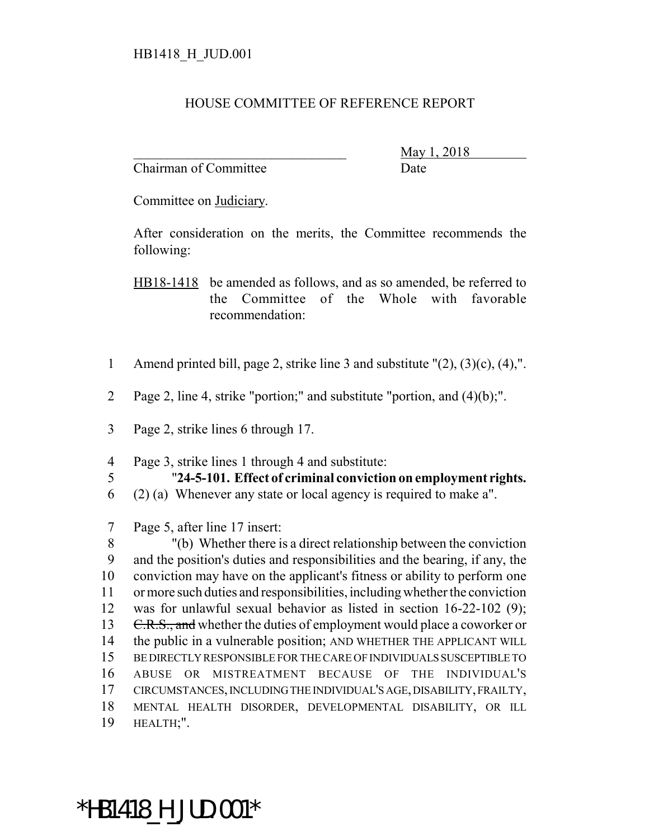## HOUSE COMMITTEE OF REFERENCE REPORT

Chairman of Committee Date

\_\_\_\_\_\_\_\_\_\_\_\_\_\_\_\_\_\_\_\_\_\_\_\_\_\_\_\_\_\_\_ May 1, 2018

Committee on Judiciary.

After consideration on the merits, the Committee recommends the following:

HB18-1418 be amended as follows, and as so amended, be referred to the Committee of the Whole with favorable recommendation:

- 1 Amend printed bill, page 2, strike line 3 and substitute "(2), (3)(c), (4),".
- 2 Page 2, line 4, strike "portion;" and substitute "portion, and (4)(b);".
- 3 Page 2, strike lines 6 through 17.
- 4 Page 3, strike lines 1 through 4 and substitute:
- 
- 5 "**24-5-101. Effect of criminal conviction on employment rights.**
- 6 (2) (a) Whenever any state or local agency is required to make a".
- 7 Page 5, after line 17 insert:

 "(b) Whether there is a direct relationship between the conviction and the position's duties and responsibilities and the bearing, if any, the conviction may have on the applicant's fitness or ability to perform one or more such duties and responsibilities, including whether the conviction was for unlawful sexual behavior as listed in section 16-22-102 (9); 13 C.R.S., and whether the duties of employment would place a coworker or the public in a vulnerable position; AND WHETHER THE APPLICANT WILL BE DIRECTLY RESPONSIBLE FOR THE CARE OF INDIVIDUALS SUSCEPTIBLE TO ABUSE OR MISTREATMENT BECAUSE OF THE INDIVIDUAL'S CIRCUMSTANCES, INCLUDING THE INDIVIDUAL'S AGE, DISABILITY, FRAILTY, MENTAL HEALTH DISORDER, DEVELOPMENTAL DISABILITY, OR ILL HEALTH;".

\*HB1418\_H\_JUD.001\*